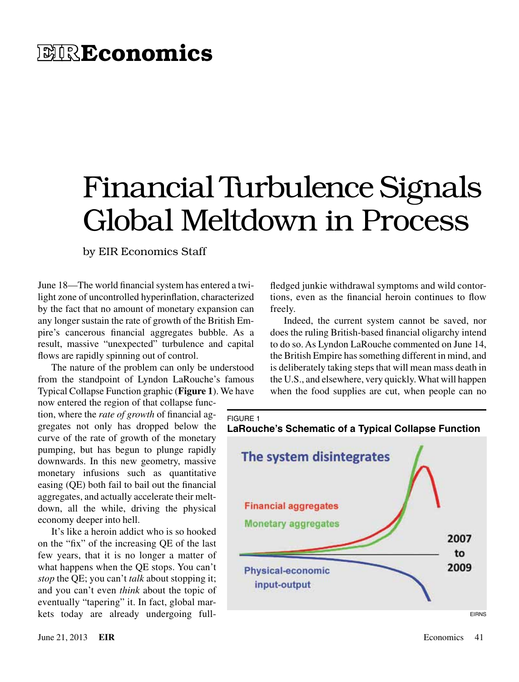# **EIREconomics**

# Financial Turbulence Signals Global Meltdown in Process

#### by EIR Economics Staff

June 18—The world financial system has entered a twilight zone of uncontrolled hyperinflation, characterized by the fact that no amount of monetary expansion can any longer sustain the rate of growth of the British Empire's cancerous financial aggregates bubble. As a result, massive "unexpected" turbulence and capital flows are rapidly spinning out of control.

The nature of the problem can only be understood from the standpoint of Lyndon LaRouche's famous Typical Collapse Function graphic (**Figure 1**). We have

now entered the region of that collapse function, where the *rate of growth* of financial aggregates not only has dropped below the curve of the rate of growth of the monetary pumping, but has begun to plunge rapidly downwards. In this new geometry, massive monetary infusions such as quantitative easing (QE) both fail to bail out the financial aggregates, and actually accelerate their meltdown, all the while, driving the physical economy deeper into hell.

It's like a heroin addict who is so hooked on the "fix" of the increasing QE of the last few years, that it is no longer a matter of what happens when the QE stops. You can't *stop* the QE; you can't *talk* about stopping it; and you can't even *think* about the topic of eventually "tapering" it. In fact, global markets today are already undergoing fullfledged junkie withdrawal symptoms and wild contortions, even as the financial heroin continues to flow freely.

Indeed, the current system cannot be saved, nor does the ruling British-based financial oligarchy intend to do so. As Lyndon LaRouche commented on June 14, the British Empire has something different in mind, and is deliberately taking steps that will mean mass death in the U.S., and elsewhere, very quickly. What will happen when the food supplies are cut, when people can no